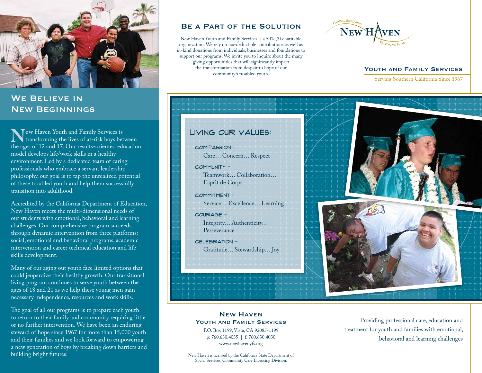

## WE BELIEVE IN New Beginnings

**New** Haven Youth and Family Services is<br>transforming the lives of at-risk boys bet<br>the ages of 12 and 17. Our results-oriented edi transforming the lives of at-risk boys between the ages of 12 and 17. Our results-oriented education model develops life/work skills in a healthy environment. Led by a dedicated team of caring professionals who embrace a servant leadership philosophy, our goal is to tap the unrealized potential of these troubled youth and help them successfully transition into adulthood.

Accredited by the California Department of Education, New Haven meets the multi-dimensional needs of our students with emotional, behavioral and learning challenges. Our comprehensive program succeeds through dynamic intervention from three platforms: social, emotional and behavioral programs, academic intervention and career technical education and life skills development.

Many of our aging out youth face limited options that could jeopardize their healthy growth. Our transitional living program continues to serve youth between the ages of 18 and 21 as we help these young men gain necessary independence, resources and work skills.

The goal of all our programs is to prepare each youth to return to their family and community requiring little or no further intervention. We have been an enduring steward of hope since 1967 for more than 15,000 youth and their families and we look forward to empowering a new generation of boys by breaking down barriers and

### Be a Part of the Solution

New Haven Youth and Family Services is a 501c(3) charitable organization. We rely on tax-deductible contributions as well as in-kind donations from individuals, businesses and foundations to support our programs. We invite you to inquire about the many giving opportunities that will significantly impact the transformation from despair to hope of our community's troubled youth.



### YOUTH AND FAMILY SERVICES

Serving Southern California Since 1967



Compassion - Care… Concern… Respect

Community - Teamwork… Collaboration… Esprit de Corps

Commitment - Service… Excellence… Learning

Courage -

Integrity… Authenticity… Perseverance

CELEBRATION -Gratitude… Stewardship… Joy



### New Haven YOUTH AND FAMILY SERVICES

P.O. Box 1199, Vista, CA 92085-1199 p: 760.630.4035 | f: 760.630.4030 www.newhavenyfs.org

New Haven is licensed by the California State Department of Social Services, Community Care Licensing Division.

Providing professional care, education and treatment for youth and families with emotional, behavioral and learning challenges